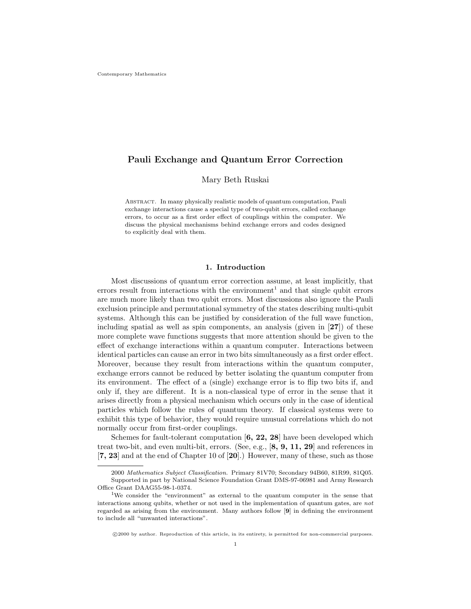# Pauli Exchange and Quantum Error Correction

Mary Beth Ruskai

Abstract. In many physically realistic models of quantum computation, Pauli exchange interactions cause a special type of two-qubit errors, called exchange errors, to occur as a first order effect of couplings within the computer. We discuss the physical mechanisms behind exchange errors and codes designed to explicitly deal with them.

# 1. Introduction

Most discussions of quantum error correction assume, at least implicitly, that  $\epsilon$  errors result from interactions with the environment<sup>1</sup> and that single qubit errors are much more likely than two qubit errors. Most discussions also ignore the Pauli exclusion principle and permutational symmetry of the states describing multi-qubit systems. Although this can be justified by consideration of the full wave function, including spatial as well as spin components, an analysis (given in  $[27]$ ) of these more complete wave functions suggests that more attention should be given to the effect of exchange interactions within a quantum computer. Interactions between identical particles can cause an error in two bits simultaneously as a first order effect. Moreover, because they result from interactions within the quantum computer, exchange errors cannot be reduced by better isolating the quantum computer from its environment. The effect of a (single) exchange error is to flip two bits if, and only if, they are different. It is a non-classical type of error in the sense that it arises directly from a physical mechanism which occurs only in the case of identical particles which follow the rules of quantum theory. If classical systems were to exhibit this type of behavior, they would require unusual correlations which do not normally occur from first-order couplings.

Schemes for fault-tolerant computation [6, 22, 28] have been developed which treat two-bit, and even multi-bit, errors. (See, e.g., [8, 9, 11, 29] and references in [7, 23] and at the end of Chapter 10 of [20].) However, many of these, such as those

c 2000 by author. Reproduction of this article, in its entirety, is permitted for non-commercial purposes.

<sup>2000</sup> Mathematics Subject Classification. Primary 81V70; Secondary 94B60, 81R99, 81Q05.

Supported in part by National Science Foundation Grant DMS-97-06981 and Army Research Office Grant DAAG55-98-1-0374.

<sup>1</sup>We consider the "environment" as external to the quantum computer in the sense that interactions among qubits, whether or not used in the implementation of quantum gates, are not regarded as arising from the environment. Many authors follow [9] in defining the environment to include all "unwanted interactions".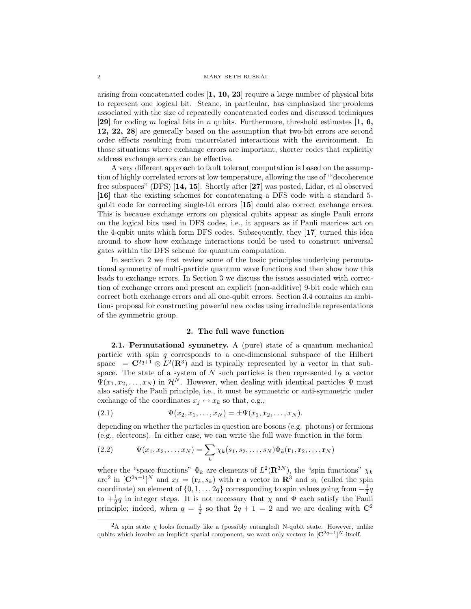arising from concatenated codes  $\left[1, 10, 23\right]$  require a large number of physical bits to represent one logical bit. Steane, in particular, has emphasized the problems associated with the size of repeatedly concatenated codes and discussed techniques [29] for coding m logical bits in n qubits. Furthermore, threshold estimates [1, 6, 12, 22, 28] are generally based on the assumption that two-bit errors are second order effects resulting from uncorrelated interactions with the environment. In those situations where exchange errors are important, shorter codes that explicitly address exchange errors can be effective.

A very different approach to fault tolerant computation is based on the assumption of highly correlated errors at low temperature, allowing the use of "'decoherence free subspaces" (DFS) [14, 15]. Shortly after [27] was posted, Lidar, et al observed [16] that the existing schemes for concatenating a DFS code with a standard 5 qubit code for correcting single-bit errors [15] could also correct exchange errors. This is because exchange errors on physical qubits appear as single Pauli errors on the logical bits used in DFS codes, i.e., it appears as if Pauli matrices act on the 4-qubit units which form DFS codes. Subsequently, they [17] turned this idea around to show how exchange interactions could be used to construct universal gates within the DFS scheme for quantum computation.

In section 2 we first review some of the basic principles underlying permutational symmetry of multi-particle quantum wave functions and then show how this leads to exchange errors. In Section 3 we discuss the issues associated with correction of exchange errors and present an explicit (non-additive) 9-bit code which can correct both exchange errors and all one-qubit errors. Section 3.4 contains an ambitious proposal for constructing powerful new codes using irreducible representations of the symmetric group.

## 2. The full wave function

2.1. Permutational symmetry. A (pure) state of a quantum mechanical particle with spin  $q$  corresponds to a one-dimensional subspace of the Hilbert space =  $\mathbb{C}^{2q+1} \otimes L^2(\mathbb{R}^3)$  and is typically represented by a vector in that subspace. The state of a system of  $N$  such particles is then represented by a vector  $\Psi(x_1, x_2, \ldots, x_N)$  in  $\mathcal{H}^N$ . However, when dealing with identical particles  $\Psi$  must also satisfy the Pauli principle, i.e., it must be symmetric or anti-symmetric under exchange of the coordinates  $x_j \leftrightarrow x_k$  so that, e.g.,

(2.1) 
$$
\Psi(x_2, x_1, \dots, x_N) = \pm \Psi(x_1, x_2, \dots, x_N).
$$

depending on whether the particles in question are bosons (e.g. photons) or fermions (e.g., electrons). In either case, we can write the full wave function in the form

(2.2) 
$$
\Psi(x_1, x_2, \dots, x_N) = \sum_k \chi_k(s_1, s_2, \dots, s_N) \Phi_k(\mathbf{r}_1, \mathbf{r}_2, \dots, \mathbf{r}_N)
$$

where the "space functions"  $\Phi_k$  are elements of  $L^2(\mathbf{R}^{3N})$ , the "spin functions"  $\chi_k$ are<sup>2</sup> in  $[\mathbf{C}^{2q+1}]^N$  and  $x_k = (\mathbf{r}_k, s_k)$  with **r** a vector in  $\mathbf{R}^3$  and  $s_k$  (called the spin coordinate) an element of  $\{0, 1, \ldots 2q\}$  corresponding to spin values going from  $-\frac{1}{2}q$ to  $+\frac{1}{2}q$  in integer steps. It is not necessary that  $\chi$  and  $\Phi$  each satisfy the Pauli principle; indeed, when  $q = \frac{1}{2}$  so that  $2q + 1 = 2$  and we are dealing with  $\mathbb{C}^2$ 

<sup>&</sup>lt;sup>2</sup>A spin state  $\chi$  looks formally like a (possibly entangled) N-qubit state. However, unlike qubits which involve an implicit spatial component, we want only vectors in  $\left[\mathbb{C}^{2q+1}\right]^{N}$  itself.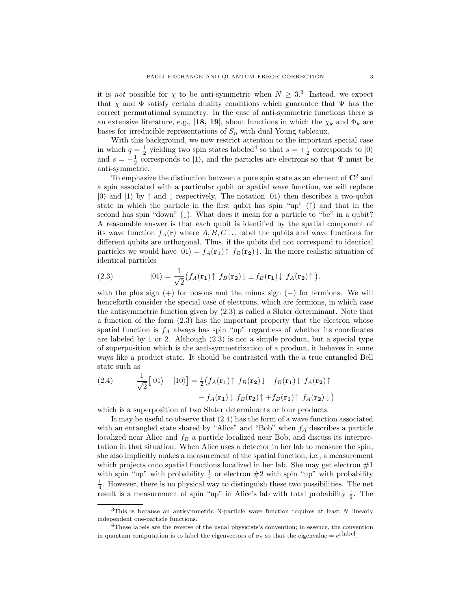it is *not* possible for  $\chi$  to be anti-symmetric when  $N \geq 3$ .<sup>3</sup> Instead, we expect that  $\chi$  and  $\Phi$  satisfy certain duality conditions which guarantee that  $\Psi$  has the correct permutational symmetry. In the case of anti-symmetric functions there is an extensive literature, e.g., [18, 19], about functions in which the  $\chi_k$  and  $\Phi_k$  are bases for irreducible representations of  $S_n$  with dual Young tableaux.

With this background, we now restrict attention to the important special case in which  $q = \frac{1}{2}$  yielding two spin states labeled<sup>4</sup> so that  $s = +\frac{1}{2}$  corresponds to  $|0\rangle$ and  $s = -\frac{1}{2}$  corresponds to  $|1\rangle$ , and the particles are electrons so that  $\Psi$  must be anti-symmetric.

To emphasize the distinction between a pure spin state as an element of  $\mathbb{C}^2$  and a spin associated with a particular qubit or spatial wave function, we will replace  $|0\rangle$  and  $|1\rangle$  by  $\uparrow$  and  $\downarrow$  respectively. The notation  $|01\rangle$  then describes a two-qubit state in which the particle in the first qubit has spin "up"  $(†)$  and that in the second has spin "down"  $( )$ . What does it mean for a particle to "be" in a qubit? A reasonable answer is that each qubit is identified by the spatial component of its wave function  $f_A(\mathbf{r})$  where  $A, B, C, \ldots$  label the qubits and wave functions for different qubits are orthogonal. Thus, if the qubits did not correspond to identical particles we would have  $|01\rangle = f_A(\mathbf{r_1}) \uparrow f_B(\mathbf{r_2}) \downarrow$ . In the more realistic situation of identical particles

(2.3) 
$$
|01\rangle = \frac{1}{\sqrt{2}} \big(f_A(\mathbf{r_1}) \uparrow f_B(\mathbf{r_2}) \downarrow \pm f_B(\mathbf{r_1}) \downarrow f_A(\mathbf{r_2}) \uparrow \big).
$$

with the plus sign  $(+)$  for bosons and the minus sign  $(-)$  for fermions. We will henceforth consider the special case of electrons, which are fermions, in which case the antisymmetric function given by (2.3) is called a Slater determinant. Note that a function of the form (2.3) has the important property that the electron whose spatial function is  $f_A$  always has spin "up" regardless of whether its coordinates are labeled by 1 or 2. Although  $(2.3)$  is not a simple product, but a special type of superposition which is the anti-symmetrization of a product, it behaves in some ways like a product state. It should be contrasted with the a true entangled Bell state such as

(2.4) 
$$
\frac{1}{\sqrt{2}}\big[|01\rangle - |10\rangle\big] = \frac{1}{2}\big(f_A(\mathbf{r_1})\uparrow f_B(\mathbf{r_2})\downarrow -f_B(\mathbf{r_1})\downarrow f_A(\mathbf{r_2})\uparrow -f_A(\mathbf{r_1})\downarrow f_B(\mathbf{r_2})\uparrow f_B(\mathbf{r_1})\uparrow f_A(\mathbf{r_2})\downarrow \big)
$$

which is a superposition of two Slater determinants or four products.

It may be useful to observe that (2.4) has the form of a wave function associated with an entangled state shared by "Alice" and "Bob" when  $f_A$  describes a particle localized near Alice and  $f_B$  a particle localized near Bob, and discuss its interpretation in that situation. When Alice uses a detector in her lab to measure the spin, she also implicitly makes a measurement of the spatial function, i.e., a measurement which projects onto spatial functions localized in her lab. She may get electron  $#1$ with spin "up" with probability  $\frac{1}{4}$  or electron  $\#2$  with spin "up" with probability  $\frac{1}{4}$ . However, there is no physical way to distinguish these two possibilities. The net result is a measurement of spin "up" in Alice's lab with total probability  $\frac{1}{2}$ . The

 $3$ This is because an antisymmetric N-particle wave function requires at least N linearly independent one-particle functions.

<sup>&</sup>lt;sup>4</sup>These labels are the reverse of the usual physicists's convention; in essence, the convention in quantum computation is to label the eigenvectors of  $\sigma_z$  so that the eigenvalue  $=e^{i \text{ label}}$ .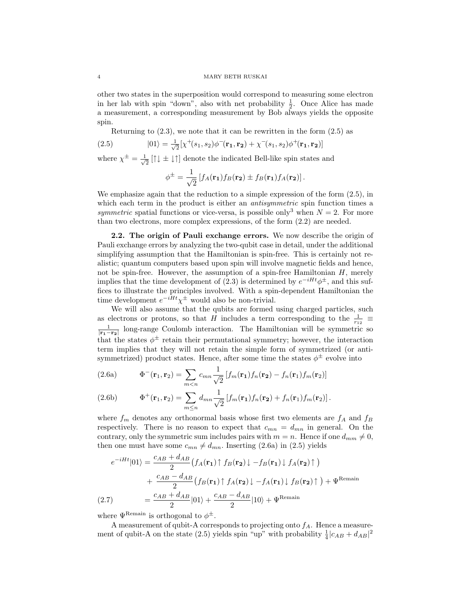other two states in the superposition would correspond to measuring some electron in her lab with spin "down", also with net probability  $\frac{1}{2}$ . Once Alice has made a measurement, a corresponding measurement by Bob always yields the opposite spin.

Returning to  $(2.3)$ , we note that it can be rewritten in the form  $(2.5)$  as

(2.5) 
$$
|01\rangle = \frac{1}{\sqrt{2}} [\chi^+(s_1, s_2) \phi^-(\mathbf{r_1}, \mathbf{r_2}) + \chi^-(s_1, s_2) \phi^+(\mathbf{r_1}, \mathbf{r_2})]
$$

where  $\chi^{\pm} = \frac{1}{\sqrt{2}}$  $\frac{1}{2}\left[\uparrow\downarrow\pm\downarrow\uparrow\right]$  denote the indicated Bell-like spin states and

$$
\phi^{\pm} = \frac{1}{\sqrt{2}} \left[ f_A(\mathbf{r_1}) f_B(\mathbf{r_2}) \pm f_B(\mathbf{r_1}) f_A(\mathbf{r_2}) \right].
$$

We emphasize again that the reduction to a simple expression of the form (2.5), in which each term in the product is either an *antisymmetric* spin function times a symmetric spatial functions or vice-versa, is possible only<sup>3</sup> when  $N = 2$ . For more than two electrons, more complex expressions, of the form (2.2) are needed.

2.2. The origin of Pauli exchange errors. We now describe the origin of Pauli exchange errors by analyzing the two-qubit case in detail, under the additional simplifying assumption that the Hamiltonian is spin-free. This is certainly not realistic; quantum computers based upon spin will involve magnetic fields and hence, not be spin-free. However, the assumption of a spin-free Hamiltonian  $H$ , merely implies that the time development of (2.3) is determined by  $e^{-iHt}\phi^{\pm}$ , and this suffices to illustrate the principles involved. With a spin-dependent Hamiltonian the time development  $e^{-iHt}\chi^{\pm}$  would also be non-trivial.

We will also assume that the qubits are formed using charged particles, such as electrons or protons, so that H includes a term corresponding to the  $\frac{1}{r_{12}} \equiv$  $\frac{1}{|\mathbf{r}_1-\mathbf{r}_2|}$  long-range Coulomb interaction. The Hamiltonian will be symmetric so that the states  $\phi^{\pm}$  retain their permutational symmetry; however, the interaction term implies that they will not retain the simple form of symmetrized (or antisymmetrized) product states. Hence, after some time the states  $\phi^{\pm}$  evolve into

(2.6a) 
$$
\Phi^{-}(\mathbf{r}_{1}, \mathbf{r}_{2}) = \sum_{m < n} c_{mn} \frac{1}{\sqrt{2}} [f_{m}(\mathbf{r}_{1}) f_{n}(\mathbf{r}_{2}) - f_{n}(\mathbf{r}_{1}) f_{m}(\mathbf{r}_{2})]
$$

(2.6b) 
$$
\Phi^+(\mathbf{r}_1, \mathbf{r}_2) = \sum_{m \leq n} d_{mn} \frac{1}{\sqrt{2}} \left[ f_m(\mathbf{r}_1) f_n(\mathbf{r}_2) + f_n(\mathbf{r}_1) f_m(\mathbf{r}_2) \right].
$$

where  $f_m$  denotes any orthonormal basis whose first two elements are  $f_A$  and  $f_B$ respectively. There is no reason to expect that  $c_{mn} = d_{mn}$  in general. On the contrary, only the symmetric sum includes pairs with  $m = n$ . Hence if one  $d_{mm} \neq 0$ , then one must have some  $c_{mn} \neq d_{mn}$ . Inserting (2.6a) in (2.5) yields

$$
e^{-iHt}|01\rangle = \frac{c_{AB} + d_{AB}}{2} \left( f_A(\mathbf{r}_1) \uparrow f_B(\mathbf{r}_2) \downarrow -f_B(\mathbf{r}_1) \downarrow f_A(\mathbf{r}_2) \uparrow \right) + \frac{c_{AB} - d_{AB}}{2} \left( f_B(\mathbf{r}_1) \uparrow f_A(\mathbf{r}_2) \downarrow -f_A(\mathbf{r}_1) \downarrow f_B(\mathbf{r}_2) \uparrow \right) + \Psi^{\text{Remain}} (2.7) \qquad \qquad = \frac{c_{AB} + d_{AB}}{2} |01\rangle + \frac{c_{AB} - d_{AB}}{2} |10\rangle + \Psi^{\text{Remain}}
$$

where  $\Psi^{\text{Remain}}$  is orthogonal to  $\phi^{\pm}$ .

A measurement of qubit-A corresponds to projecting onto  $f_A$ . Hence a measurement of qubit-A on the state (2.5) yields spin "up" with probability  $\frac{1}{4}|c_{AB} + d_{AB}|^2$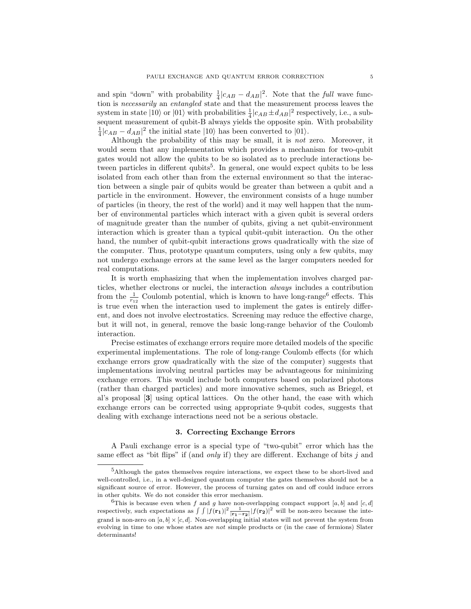and spin "down" with probability  $\frac{1}{4}|c_{AB} - d_{AB}|^2$ . Note that the *full* wave function is necessarily an entangled state and that the measurement process leaves the system in state  $|10\rangle$  or  $|01\rangle$  with probabilities  $\frac{1}{4}|c_{AB} \pm d_{AB}|^2$  respectively, i.e., a subsequent measurement of qubit-B always yields the opposite spin. With probability  $\frac{1}{4}|c_{AB} - d_{AB}|^2$  the initial state  $|10\rangle$  has been converted to  $|01\rangle$ .

Although the probability of this may be small, it is not zero. Moreover, it would seem that any implementation which provides a mechanism for two-qubit gates would not allow the qubits to be so isolated as to preclude interactions between particles in different qubits<sup>5</sup>. In general, one would expect qubits to be less isolated from each other than from the external environment so that the interaction between a single pair of qubits would be greater than between a qubit and a particle in the environment. However, the environment consists of a huge number of particles (in theory, the rest of the world) and it may well happen that the number of environmental particles which interact with a given qubit is several orders of magnitude greater than the number of qubits, giving a net qubit-environment interaction which is greater than a typical qubit-qubit interaction. On the other hand, the number of qubit-qubit interactions grows quadratically with the size of the computer. Thus, prototype quantum computers, using only a few qubits, may not undergo exchange errors at the same level as the larger computers needed for real computations.

It is worth emphasizing that when the implementation involves charged particles, whether electrons or nuclei, the interaction always includes a contribution from the  $\frac{1}{r_{12}}$  Coulomb potential, which is known to have long-range<sup>6</sup> effects. This is true even when the interaction used to implement the gates is entirely different, and does not involve electrostatics. Screening may reduce the effective charge, but it will not, in general, remove the basic long-range behavior of the Coulomb interaction.

Precise estimates of exchange errors require more detailed models of the specific experimental implementations. The role of long-range Coulomb effects (for which exchange errors grow quadratically with the size of the computer) suggests that implementations involving neutral particles may be advantageous for minimizing exchange errors. This would include both computers based on polarized photons (rather than charged particles) and more innovative schemes, such as Briegel, et al's proposal [3] using optical lattices. On the other hand, the ease with which exchange errors can be corrected using appropriate 9-qubit codes, suggests that dealing with exchange interactions need not be a serious obstacle.

# 3. Correcting Exchange Errors

A Pauli exchange error is a special type of "two-qubit" error which has the same effect as "bit flips" if (and *only* if) they are different. Exchange of bits j and

<sup>5</sup>Although the gates themselves require interactions, we expect these to be short-lived and well-controlled, i.e., in a well-designed quantum computer the gates themselves should not be a significant source of error. However, the process of turning gates on and off could induce errors in other qubits. We do not consider this error mechanism.

<sup>&</sup>lt;sup>6</sup>This is because even when f and g have non-overlapping compact support  $[a, b]$  and  $[c, d]$ respectively, such expectations as  $\int \int |f(\mathbf{r_1})|^2 \frac{1}{|\mathbf{r_1}-\mathbf{r_2}|} |f(\mathbf{r_2})|^2$  will be non-zero because the integrand is non-zero on  $[a, b] \times [c, d]$ . Non-overlapping initial states will not prevent the system from evolving in time to one whose states are not simple products or (in the case of fermions) Slater determinants!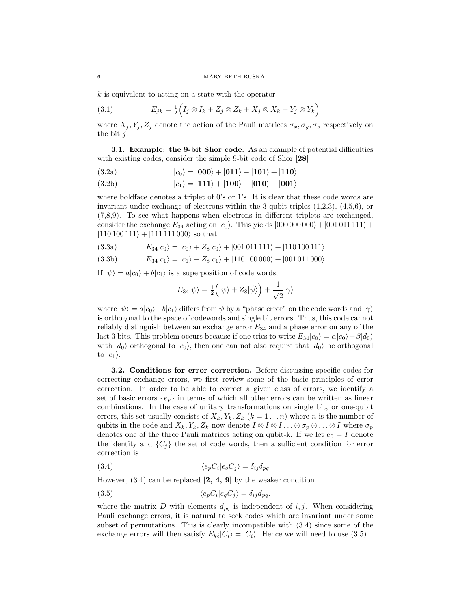k is equivalent to acting on a state with the operator

(3.1) 
$$
E_{jk} = \frac{1}{2} \Big( I_j \otimes I_k + Z_j \otimes Z_k + X_j \otimes X_k + Y_j \otimes Y_k \Big)
$$

where  $X_j, Y_j, Z_j$  denote the action of the Pauli matrices  $\sigma_x, \sigma_y, \sigma_z$  respectively on the bit  $i$ .

3.1. Example: the 9-bit Shor code. As an example of potential difficulties with existing codes, consider the simple 9-bit code of Shor [28]

(3.2a) 
$$
|c_0\rangle = |000\rangle + |011\rangle + |101\rangle + |110\rangle
$$

(3.2b)  $|c_1\rangle = |111\rangle + |100\rangle + |010\rangle + |001\rangle$ 

where boldface denotes a triplet of 0's or 1's. It is clear that these code words are invariant under exchange of electrons within the 3-qubit triples  $(1,2,3)$ ,  $(4,5,6)$ , or (7,8,9). To see what happens when electrons in different triplets are exchanged, consider the exchange  $E_{34}$  acting on  $|c_0\rangle$ . This yields  $|000\,000\,000\rangle+|001\,011\,111\rangle+$  $|110\,100\,111\rangle + |111\,111\,000\rangle$  so that

(3.3a)  $E_{34}|c_0\rangle = |c_0\rangle + Z_8|c_0\rangle + |001\,011\,111\rangle + |110\,100\,111\rangle$ 

(3.3b)  $E_{34}|c_1\rangle = |c_1\rangle - Z_8|c_1\rangle + |110\,100\,000\rangle + |001\,011\,000\rangle$ 

If  $|\psi\rangle = a|c_0\rangle + b|c_1\rangle$  is a superposition of code words,

$$
E_{34}|\psi\rangle = \frac{1}{2} (|\psi\rangle + Z_8|\tilde{\psi}\rangle + \frac{1}{\sqrt{2}}|\gamma\rangle
$$

where  $|\tilde{\psi}\rangle = a|c_0\rangle - b|c_1\rangle$  differs from  $\psi$  by a "phase error" on the code words and  $|\gamma\rangle$ is orthogonal to the space of codewords and single bit errors. Thus, this code cannot reliably distinguish between an exchange error  $E_{34}$  and a phase error on any of the last 3 bits. This problem occurs because if one tries to write  $E_{34}|c_0\rangle = \alpha|c_0\rangle + \beta|d_0\rangle$ with  $|d_0\rangle$  orthogonal to  $|c_0\rangle$ , then one can not also require that  $|d_0\rangle$  be orthogonal to  $|c_1\rangle$ .

3.2. Conditions for error correction. Before discussing specific codes for correcting exchange errors, we first review some of the basic principles of error correction. In order to be able to correct a given class of errors, we identify a set of basic errors  $\{e_p\}$  in terms of which all other errors can be written as linear combinations. In the case of unitary transformations on single bit, or one-qubit errors, this set usually consists of  $X_k, Y_k, Z_k$   $(k = 1 ... n)$  where n is the number of qubits in the code and  $X_k, Y_k, Z_k$  now denote  $I \otimes I \otimes I \ldots \otimes \sigma_p \otimes \ldots \otimes I$  where  $\sigma_p$ denotes one of the three Pauli matrices acting on qubit-k. If we let  $e_0 = I$  denote the identity and  $\{C_i\}$  the set of code words, then a sufficient condition for error correction is

(3.4) 
$$
\langle e_p C_i | e_q C_j \rangle = \delta_{ij} \delta_{pq}
$$

However,  $(3.4)$  can be replaced  $[2, 4, 9]$  by the weaker condition

(3.5) 
$$
\langle e_p C_i | e_q C_j \rangle = \delta_{ij} d_{pq}.
$$

where the matrix D with elements  $d_{pq}$  is independent of i, j. When considering Pauli exchange errors, it is natural to seek codes which are invariant under some subset of permutations. This is clearly incompatible with (3.4) since some of the exchange errors will then satisfy  $E_{k\ell}|C_i\rangle = |C_i\rangle$ . Hence we will need to use (3.5).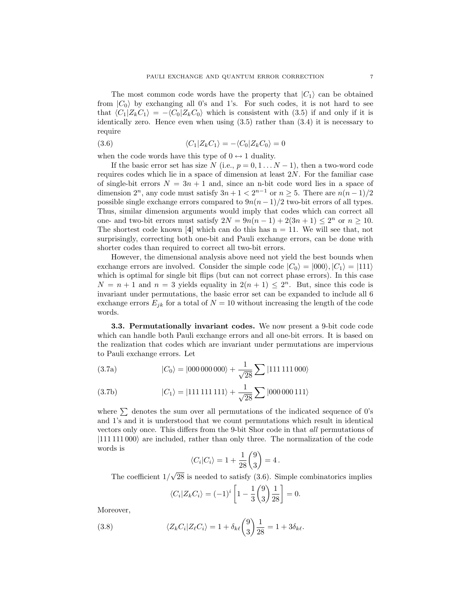The most common code words have the property that  $|C_1\rangle$  can be obtained from  $|C_0\rangle$  by exchanging all 0's and 1's. For such codes, it is not hard to see that  $\langle C_1|Z_kC_1\rangle = -\langle C_0|Z_kC_0\rangle$  which is consistent with (3.5) if and only if it is identically zero. Hence even when using (3.5) rather than (3.4) it is necessary to require

(3.6) 
$$
\langle C_1 | Z_k C_1 \rangle = - \langle C_0 | Z_k C_0 \rangle = 0
$$

when the code words have this type of  $0 \leftrightarrow 1$  duality.

If the basic error set has size N (i.e.,  $p = 0, 1...N - 1$ ), then a two-word code requires codes which lie in a space of dimension at least 2N. For the familiar case of single-bit errors  $N = 3n + 1$  and, since an n-bit code word lies in a space of dimension  $2^n$ , any code must satisfy  $3n + 1 < 2^{n-1}$  or  $n \ge 5$ . There are  $n(n-1)/2$ possible single exchange errors compared to  $9n(n-1)/2$  two-bit errors of all types. Thus, similar dimension arguments would imply that codes which can correct all one- and two-bit errors must satisfy  $2N = 9n(n-1) + 2(3n+1) \leq 2^n$  or  $n \geq 10$ . The shortest code known [4] which can do this has  $n = 11$ . We will see that, not surprisingly, correcting both one-bit and Pauli exchange errors, can be done with shorter codes than required to correct all two-bit errors.

However, the dimensional analysis above need not yield the best bounds when exchange errors are involved. Consider the simple code  $|C_0\rangle = |000\rangle, |C_1\rangle = |111\rangle$ which is optimal for single bit flips (but can not correct phase errors). In this case  $N = n + 1$  and  $n = 3$  yields equality in  $2(n + 1) \leq 2^n$ . But, since this code is invariant under permutations, the basic error set can be expanded to include all 6 exchange errors  $E_{jk}$  for a total of  $N = 10$  without increasing the length of the code words.

3.3. Permutationally invariant codes. We now present a 9-bit code code which can handle both Pauli exchange errors and all one-bit errors. It is based on the realization that codes which are invariant under permutations are impervious to Pauli exchange errors. Let

(3.7a) 
$$
|C_0\rangle = |000\,000\,000\rangle + \frac{1}{\sqrt{28}}\sum |111\,111\,000\rangle
$$

(3.7b) 
$$
|C_1\rangle = |11111111\rangle + \frac{1}{\sqrt{28}}\sum |000\,000\,111\rangle
$$

where  $\sum$  denotes the sum over all permutations of the indicated sequence of 0's and 1's and it is understood that we count permutations which result in identical vectors only once. This differs from the 9-bit Shor code in that all permutations of  $|111111000\rangle$  are included, rather than only three. The normalization of the code words is

$$
\langle C_i | C_i \rangle = 1 + \frac{1}{28} \binom{9}{3} = 4.
$$

The coefficient 1/ 28 is needed to satisfy (3.6). Simple combinatorics implies

$$
\langle C_i | Z_k C_i \rangle = (-1)^i \left[ 1 - \frac{1}{3} {9 \choose 3} \frac{1}{28} \right] = 0.
$$

Moreover,

(3.8) 
$$
\langle Z_k C_i | Z_\ell C_i \rangle = 1 + \delta_{k\ell} {9 \choose 3} \frac{1}{28} = 1 + 3\delta_{k\ell}.
$$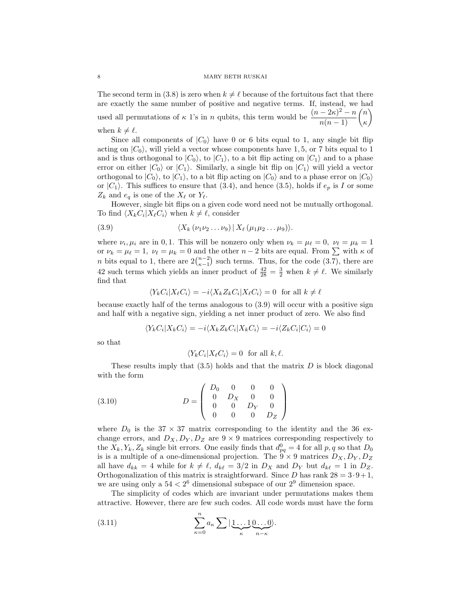The second term in (3.8) is zero when  $k \neq \ell$  because of the fortuitous fact that there are exactly the same number of positive and negative terms. If, instead, we had used all permutations of  $\kappa$  1's in n qubits, this term would be  $\frac{(n-2\kappa)^2 - n}{n(n-1)}\binom{n}{\kappa}$ κ  $\setminus$ when  $k \neq \ell$ .

Since all components of  $|C_0\rangle$  have 0 or 6 bits equal to 1, any single bit flip acting on  $|C_0\rangle$ , will yield a vector whose components have 1, 5, or 7 bits equal to 1 and is thus orthogonal to  $|C_0\rangle$ , to  $|C_1\rangle$ , to a bit flip acting on  $|C_1\rangle$  and to a phase error on either  $|C_0\rangle$  or  $|C_1\rangle$ . Similarly, a single bit flip on  $|C_1\rangle$  will yield a vector orthogonal to  $|C_0\rangle$ , to  $|C_1\rangle$ , to a bit flip acting on  $|C_0\rangle$  and to a phase error on  $|C_0\rangle$ or  $|C_1\rangle$ . This suffices to ensure that (3.4), and hence (3.5), holds if  $e_p$  is I or some  $Z_k$  and  $e_q$  is one of the  $X_\ell$  or  $Y_\ell$ .

However, single bit flips on a given code word need not be mutually orthogonal. To find  $\langle X_k C_i | X_\ell C_i \rangle$  when  $k \neq \ell$ , consider

(3.9) 
$$
\langle X_k(\nu_1\nu_2\ldots\nu_9) | X_\ell(\mu_1\mu_2\ldots\mu_9) \rangle.
$$

where  $\nu_i, \mu_i$  are in 0,1. This will be nonzero only when  $\nu_k = \mu_\ell = 0, \ \nu_\ell = \mu_k = 1$ or  $\nu_k = \mu_\ell = 1$ ,  $\nu_\ell = \mu_k = 0$  and the other  $n - 2$  bits are equal. From  $\sum$  with  $\kappa$  of *n* bits equal to 1, there are  $2\binom{n-2}{k-1}$  such terms. Thus, for the code (3.7), there are 42 such terms which yields an inner product of  $\frac{42}{28} = \frac{3}{2}$  when  $k \neq \ell$ . We similarly find that

$$
\langle Y_k C_i | X_\ell C_i \rangle = -i \langle X_k Z_k C_i | X_\ell C_i \rangle = 0 \text{ for all } k \neq \ell
$$

because exactly half of the terms analogous to (3.9) will occur with a positive sign and half with a negative sign, yielding a net inner product of zero. We also find

$$
\langle Y_kC_i|X_kC_i\rangle=-i\langle X_kZ_kC_i|X_kC_i\rangle=-i\langle Z_kC_i|C_i\rangle=0
$$

so that

$$
\langle Y_k C_i | X_\ell C_i \rangle = 0 \text{ for all } k, \ell.
$$

These results imply that  $(3.5)$  holds and that the matrix D is block diagonal with the form

(3.10) 
$$
D = \begin{pmatrix} D_0 & 0 & 0 & 0 \\ 0 & D_X & 0 & 0 \\ 0 & 0 & D_Y & 0 \\ 0 & 0 & 0 & D_Z \end{pmatrix}
$$

where  $D_0$  is the 37 × 37 matrix corresponding to the identity and the 36 exchange errors, and  $D_X, D_Y, D_Z$  are  $9 \times 9$  matrices corresponding respectively to the  $X_k, Y_k, Z_k$  single bit errors. One easily finds that  $d_{pq}^0 = 4$  for all p, q so that  $D_0$ is is a multiple of a one-dimensional projection. The  $9 \times 9$  matrices  $D_X, D_Y, D_Z$ all have  $d_{kk} = 4$  while for  $k \neq \ell$ ,  $d_{k\ell} = 3/2$  in  $D_X$  and  $D_Y$  but  $d_{k\ell} = 1$  in  $D_Z$ . Orthogonalization of this matrix is straightforward. Since D has rank  $28 = 3 \cdot 9 + 1$ , we are using only a  $54 < 2^6$  dimensional subspace of our  $2^9$  dimension space.

The simplicity of codes which are invariant under permutations makes them attractive. However, there are few such codes. All code words must have the form

(3.11) 
$$
\sum_{\kappa=0}^{n} a_{\kappa} \sum |\underbrace{1 \dots 1}_{\kappa} \underbrace{0 \dots 0}_{n-\kappa} \rangle.
$$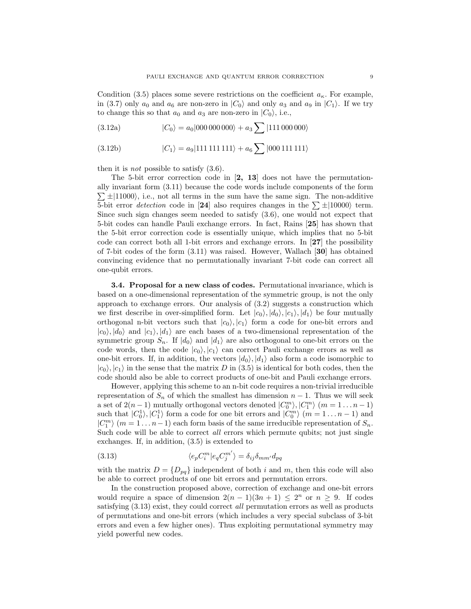Condition (3.5) places some severe restrictions on the coefficient  $a_{\kappa}$ . For example, in (3.7) only  $a_0$  and  $a_6$  are non-zero in  $|C_0\rangle$  and only  $a_3$  and  $a_9$  in  $|C_1\rangle$ . If we try to change this so that  $a_0$  and  $a_3$  are non-zero in  $|C_0\rangle$ , i.e.,

(3.12a) 
$$
|C_0\rangle = a_0|000\,000\,000\rangle + a_3 \sum |111\,000\,000\rangle
$$

(3.12b) 
$$
|C_1\rangle = a_9|11111111\rangle + a_6 \sum |000111111\rangle
$$

then it is not possible to satisfy (3.6).

The 5-bit error correction code in [2, 13] does not have the permutationally invariant form (3.11) because the code words include components of the form  $\sum \pm |11000\rangle$ , i.e., not all terms in the sum have the same sign. The non-additive 5-bit error *detection* code in [24] also requires changes in the  $\sum \pm |10000\rangle$  term. Since such sign changes seem needed to satisfy (3.6), one would not expect that 5-bit codes can handle Pauli exchange errors. In fact, Rains [25] has shown that the 5-bit error correction code is essentially unique, which implies that no 5-bit code can correct both all 1-bit errors and exchange errors. In [27] the possibility of 7-bit codes of the form (3.11) was raised. However, Wallach [30] has obtained convincing evidence that no permutationally invariant 7-bit code can correct all one-qubit errors.

3.4. Proposal for a new class of codes. Permutational invariance, which is based on a one-dimensional representation of the symmetric group, is not the only approach to exchange errors. Our analysis of (3.2) suggests a construction which we first describe in over-simplified form. Let  $|c_0\rangle, |d_0\rangle, |c_1\rangle, |d_1\rangle$  be four mutually orthogonal n-bit vectors such that  $|c_0\rangle, |c_1\rangle$  form a code for one-bit errors and  $|c_0\rangle, |d_0\rangle$  and  $|c_1\rangle, |d_1\rangle$  are each bases of a two-dimensional representation of the symmetric group  $S_n$ . If  $|d_0\rangle$  and  $|d_1\rangle$  are also orthogonal to one-bit errors on the code words, then the code  $|c_0\rangle, |c_1\rangle$  can correct Pauli exchange errors as well as one-bit errors. If, in addition, the vectors  $|d_0\rangle, |d_1\rangle$  also form a code isomorphic to  $|c_0\rangle, |c_1\rangle$  in the sense that the matrix D in (3.5) is identical for both codes, then the code should also be able to correct products of one-bit and Pauli exchange errors.

However, applying this scheme to an n-bit code requires a non-trivial irreducible representation of  $S_n$  of which the smallest has dimension  $n-1$ . Thus we will seek a set of  $2(n-1)$  mutually orthogonal vectors denoted  $|C_0^m\rangle, |C_1^m\rangle$   $(m = 1 ... n - 1)$ such that  $|C_0^1\rangle, |C_1^1\rangle$  form a code for one bit errors and  $|C_0^m\rangle$   $(m = 1 ... n - 1)$  and  $|C_1^m\rangle$   $(m = 1...n-1)$  each form basis of the same irreducible representation of  $S_n$ . Such code will be able to correct *all* errors which permute qubits; not just single exchanges. If, in addition, (3.5) is extended to

(3.13) 
$$
\langle e_p C_i^m | e_q C_j^{m'} \rangle = \delta_{ij} \delta_{mm'} d_{pq}
$$

with the matrix  $D = \{D_{pq}\}\$ independent of both i and m, then this code will also be able to correct products of one bit errors and permutation errors.

In the construction proposed above, correction of exchange and one-bit errors would require a space of dimension  $2(n-1)(3n+1) \leq 2^n$  or  $n \geq 9$ . If codes satisfying  $(3.13)$  exist, they could correct all permutation errors as well as products of permutations and one-bit errors (which includes a very special subclass of 3-bit errors and even a few higher ones). Thus exploiting permutational symmetry may yield powerful new codes.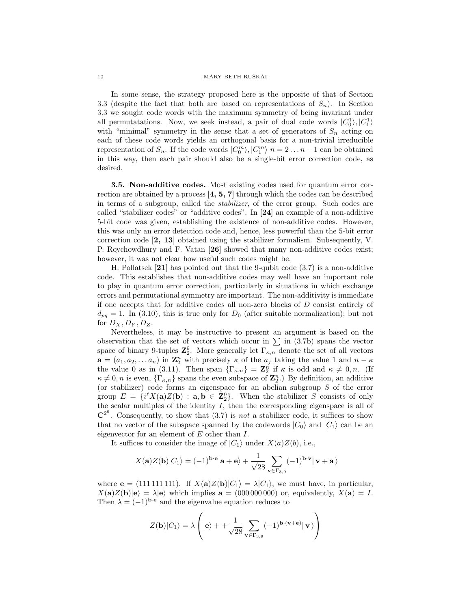In some sense, the strategy proposed here is the opposite of that of Section 3.3 (despite the fact that both are based on representations of  $S_n$ ). In Section 3.3 we sought code words with the maximum symmetry of being invariant under all permutatations. Now, we seek instead, a pair of dual code words  $|C_0^1\rangle, |C_1^1\rangle$ with "minimal" symmetry in the sense that a set of generators of  $S_n$  acting on each of these code words yields an orthogonal basis for a non-trivial irreducible representation of  $S_n$ . If the code words  $|C_0^m\rangle, |C_1^m\rangle$   $n = 2 \dots n - 1$  can be obtained in this way, then each pair should also be a single-bit error correction code, as desired.

3.5. Non-additive codes. Most existing codes used for quantum error correction are obtained by a process  $\left[4, 5, 7\right]$  through which the codes can be described in terms of a subgroup, called the stabilizer, of the error group. Such codes are called "stabilizer codes" or "additive codes". In  $[24]$  an example of a non-additive 5-bit code was given, establishing the existence of non-additive codes. However, this was only an error detection code and, hence, less powerful than the 5-bit error correction code [2, 13] obtained using the stabilizer formalism. Subsequently, V. P. Roychowdhury and F. Vatan [26] showed that many non-additive codes exist; however, it was not clear how useful such codes might be.

H. Pollatsek [21] has pointed out that the 9-qubit code (3.7) is a non-additive code. This establishes that non-additive codes may well have an important role to play in quantum error correction, particularly in situations in which exchange errors and permutational symmetry are important. The non-additivity is immediate if one accepts that for additive codes all non-zero blocks of D consist entirely of  $d_{pq} = 1$ . In (3.10), this is true only for  $D_0$  (after suitable normalization); but not for  $D_X, D_Y, D_Z$ .

Nevertheless, it may be instructive to present an argument is based on the observation that the set of vectors which occur in  $\sum$  in (3.7b) spans the vector space of binary 9-tuples  $\mathbb{Z}_2^9$ . More generally let  $\Gamma_{\kappa,n}$  denote the set of all vectors  $\mathbf{a} = (a_1, a_2, \dots a_n)$  in  $\mathbf{Z}_2^n$  with precisely  $\kappa$  of the  $a_j$  taking the value 1 and  $n - \kappa$ the value 0 as in (3.11). Then span  $\{\Gamma_{\kappa,n}\} = \mathbb{Z}_2^n$  if  $\kappa$  is odd and  $\kappa \neq 0, n$ . (If  $\kappa \neq 0, n$  is even,  $\{\Gamma_{\kappa,n}\}$  spans the even subspace of  $\mathbb{Z}_2^n$ .) By definition, an additive (or stabilizer) code forms an eigenspace for an abelian subgroup S of the error group  $E = \{i^{\ell} X(\mathbf{a}) Z(\mathbf{b}) : \mathbf{a}, \mathbf{b} \in \mathbb{Z}_2^9\}$ . When the stabilizer S consists of only the scalar multiples of the identity  $I$ , then the corresponding eigenspace is all of  $\mathbb{C}^{2^9}$ . Consequently, to show that (3.7) is not a stabilizer code, it suffices to show that no vector of the subspace spanned by the codewords  $|C_0\rangle$  and  $|C_1\rangle$  can be an eigenvector for an element of E other than I.

It suffices to consider the image of  $|C_1\rangle$  under  $X(a)Z(b)$ , i.e.,

$$
X(\mathbf{a})Z(\mathbf{b})|C_1\rangle = (-1)^{\mathbf{b}\cdot\mathbf{e}}|\mathbf{a}+\mathbf{e}\rangle + \frac{1}{\sqrt{28}}\sum_{\mathbf{v}\in\Gamma_{3,9}} (-1)^{\mathbf{b}\cdot\mathbf{v}}|\mathbf{v}+\mathbf{a}\rangle
$$

where  $\mathbf{e} = (111111111)$ . If  $X(\mathbf{a})Z(\mathbf{b})|C_1\rangle = \lambda|C_1\rangle$ , we must have, in particular,  $X(a)Z(b)|e\rangle = \lambda|e\rangle$  which implies  $a = (000000000)$  or, equivalently,  $X(a) = I$ . Then  $\lambda = (-1)^{b \cdot e}$  and the eigenvalue equation reduces to

$$
Z(\mathbf{b})|C_1\rangle = \lambda \left(|\mathbf{e}\rangle + \frac{1}{\sqrt{28}} \sum_{\mathbf{v} \in \Gamma_{3,9}} (-1)^{\mathbf{b} \cdot (\mathbf{v} + \mathbf{e})}|\mathbf{v}\rangle\right)
$$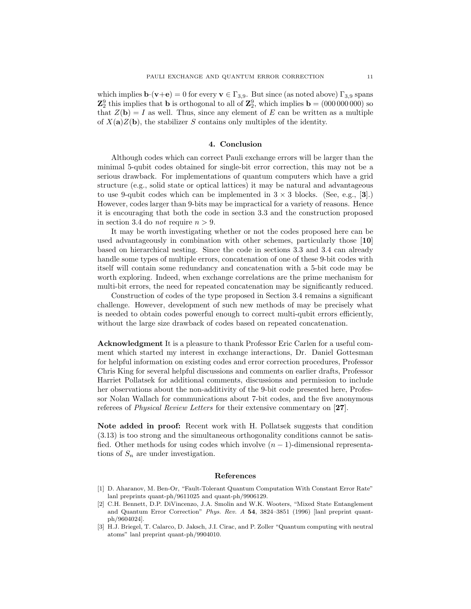which implies  $\mathbf{b} \cdot (\mathbf{v}+\mathbf{e}) = 0$  for every  $\mathbf{v} \in \Gamma_{3,9}$ . But since (as noted above)  $\Gamma_{3,9}$  spans  $\mathbb{Z}_2^9$  this implies that **b** is orthogonal to all of  $\mathbb{Z}_2^9$ , which implies **b** = (000 000 000) so that  $Z(\mathbf{b}) = I$  as well. Thus, since any element of E can be written as a multiple of  $X(\mathbf{a})Z(\mathbf{b})$ , the stabilizer S contains only multiples of the identity.

### 4. Conclusion

Although codes which can correct Pauli exchange errors will be larger than the minimal 5-qubit codes obtained for single-bit error correction, this may not be a serious drawback. For implementations of quantum computers which have a grid structure (e.g., solid state or optical lattices) it may be natural and advantageous to use 9-qubit codes which can be implemented in  $3 \times 3$  blocks. (See, e.g., [3].) However, codes larger than 9-bits may be impractical for a variety of reasons. Hence it is encouraging that both the code in section 3.3 and the construction proposed in section 3.4 do *not* require  $n > 9$ .

It may be worth investigating whether or not the codes proposed here can be used advantageously in combination with other schemes, particularly those [10] based on hierarchical nesting. Since the code in sections 3.3 and 3.4 can already handle some types of multiple errors, concatenation of one of these 9-bit codes with itself will contain some redundancy and concatenation with a 5-bit code may be worth exploring. Indeed, when exchange correlations are the prime mechanism for multi-bit errors, the need for repeated concatenation may be significantly reduced.

Construction of codes of the type proposed in Section 3.4 remains a significant challenge. However, development of such new methods of may be precisely what is needed to obtain codes powerful enough to correct multi-qubit errors efficiently, without the large size drawback of codes based on repeated concatenation.

Acknowledgment It is a pleasure to thank Professor Eric Carlen for a useful comment which started my interest in exchange interactions, Dr. Daniel Gottesman for helpful information on existing codes and error correction procedures, Professor Chris King for several helpful discussions and comments on earlier drafts, Professor Harriet Pollatsek for additional comments, discussions and permission to include her observations about the non-additivity of the 9-bit code presented here, Professor Nolan Wallach for communications about 7-bit codes, and the five anonymous referees of Physical Review Letters for their extensive commentary on [27].

Note added in proof: Recent work with H. Pollatsek suggests that condition (3.13) is too strong and the simultaneous orthogonality conditions cannot be satisfied. Other methods for using codes which involve  $(n-1)$ -dimensional representations of  $S_n$  are under investigation.

## References

- [1] D. Aharanov, M. Ben-Or, "Fault-Tolerant Quantum Computation With Constant Error Rate" lanl preprints quant-ph/9611025 and quant-ph/9906129.
- [2] C.H. Bennett, D.P. DiVincenzo, J.A. Smolin and W.K. Wooters, "Mixed State Entanglement and Quantum Error Correction" Phys. Rev. A 54, 3824–3851 (1996) [lanl preprint quantph/9604024].
- [3] H.J. Briegel, T. Calarco, D. Jaksch, J.I. Cirac, and P. Zoller "Quantum computing with neutral atoms" lanl preprint quant-ph/9904010.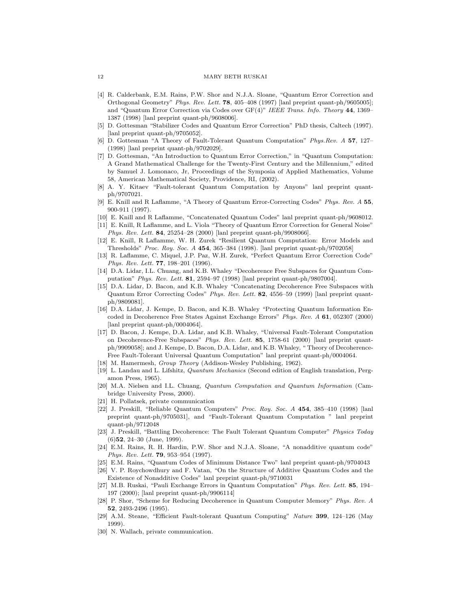- [4] R. Calderbank, E.M. Rains, P.W. Shor and N.J.A. Sloane, "Quantum Error Correction and Orthogonal Geometry" Phys. Rev. Lett. 78, 405–408 (1997) [lanl preprint quant-ph/9605005]; and "Quantum Error Correction via Codes over GF(4)" IEEE Trans. Info. Theory 44, 1369– 1387 (1998) [lanl preprint quant-ph/9608006].
- [5] D. Gottesman "Stabilizer Codes and Quantum Error Correction" PhD thesis, Caltech (1997). [lanl preprint quant-ph/9705052].
- [6] D. Gottesman "A Theory of Fault-Tolerant Quantum Computation" Phys.Rev. A 57, 127– (1998) [lanl preprint quant-ph/9702029].
- [7] D. Gottesman, "An Introduction to Quantum Error Correction," in "Quantum Computation: A Grand Mathematical Challenge for the Twenty-First Century and the Millennium," edited by Samuel J. Lomonaco, Jr, Proceedings of the Symposia of Applied Mathematics, Volume 58, American Mathematical Society, Providence, RI, (2002).
- [8] A. Y. Kitaev "Fault-tolerant Quantum Computation by Anyons" lanl preprint quantph/9707021.
- [9] E. Knill and R Laflamme, "A Theory of Quantum Error-Correcting Codes" Phys. Rev. A 55, 900-911 (1997).
- [10] E. Knill and R Laflamme, "Concatenated Quantum Codes" lanl preprint quant-ph/9608012.
- [11] E. Knill, R Laflamme, and L. Viola "Theory of Quantum Error Correction for General Noise" Phys. Rev. Lett. 84, 25254-28 (2000) [lanl preprint quant-ph/9908066].
- [12] E. Knill, R Laflamme, W. H. Zurek "Resilient Quantum Computation: Error Models and Thresholds" Proc. Roy. Soc. A 454, 365–384 (1998). [lanl preprint quant-ph/9702058]
- [13] R. Laflamme, C. Miquel, J.P. Paz, W.H. Zurek, "Perfect Quantum Error Correction Code" Phys. Rev. Lett. **77**, 198-201 (1996).
- [14] D.A. Lidar, I.L. Chuang, and K.B. Whaley "Decoherence Free Subspaces for Quantum Computation" Phys. Rev. Lett. 81, 2594–97 (1998) [lanl preprint quant-ph/9807004].
- [15] D.A. Lidar, D. Bacon, and K.B. Whaley "Concatenating Decoherence Free Subspaces with Quantum Error Correcting Codes" Phys. Rev. Lett. 82, 4556–59 (1999) [lanl preprint quantph/9809081].
- [16] D.A. Lidar, J. Kempe, D. Bacon, and K.B. Whaley "Protecting Quantum Information Encoded in Decoherence Free States Against Exchange Errors" Phys. Rev. A 61, 052307 (2000) [lanl preprint quant-ph/0004064].
- [17] D. Bacon, J. Kempe, D.A. Lidar, and K.B. Whaley, "Universal Fault-Tolerant Computation on Decoherence-Free Subspaces" Phys. Rev. Lett. 85, 1758-61 (2000) [lanl preprint quantph/9909058]; and J. Kempe, D. Bacon, D.A. Lidar, and K.B. Whaley, " Theory of Decoherence-Free Fault-Tolerant Universal Quantum Computation" lanl preprint quant-ph/0004064.
- [18] M. Hamermesh, Group Theory (Addison-Wesley Publishing, 1962).
- [19] L. Landau and L. Lifshitz, Quantum Mechanics (Second edition of English translation, Pergamon Press, 1965).
- [20] M.A. Nielsen and I.L. Chuang, Quantum Computation and Quantum Information (Cambridge University Press, 2000).
- [21] H. Pollatsek, private communication
- [22] J. Preskill, "Reliable Quantum Computers" Proc. Roy. Soc. A 454, 385–410 (1998) [lanl preprint quant-ph/9705031], and "Fault-Tolerant Quantum Computation " lanl preprint quant-ph/9712048
- [23] J. Preskill, "Battling Decoherence: The Fault Tolerant Quantum Computer" Physics Today (6)52, 24–30 (June, 1999).
- [24] E.M. Rains, R. H. Hardin, P.W. Shor and N.J.A. Sloane, "A nonadditive quantum code" Phys. Rev. Lett. 79, 953–954 (1997).
- [25] E.M. Rains, "Quantum Codes of Minimum Distance Two" lanl preprint quant-ph/9704043
- [26] V. P. Roychowdhury and F. Vatan, "On the Structure of Additive Quantum Codes and the Existence of Nonadditive Codes" lanl preprint quant-ph/9710031
- [27] M.B. Ruskai, "Pauli Exchange Errors in Quantum Computation" Phys. Rev. Lett. 85, 194– 197 (2000); [lanl preprint quant-ph/9906114]
- [28] P. Shor, "Scheme for Reducing Decoherence in Quantum Computer Memory" Phys. Rev. A 52, 2493-2496 (1995).
- [29] A.M. Steane, "Efficient Fault-tolerant Quantum Computing" Nature 399, 124–126 (May 1999).
- [30] N. Wallach, private communication.